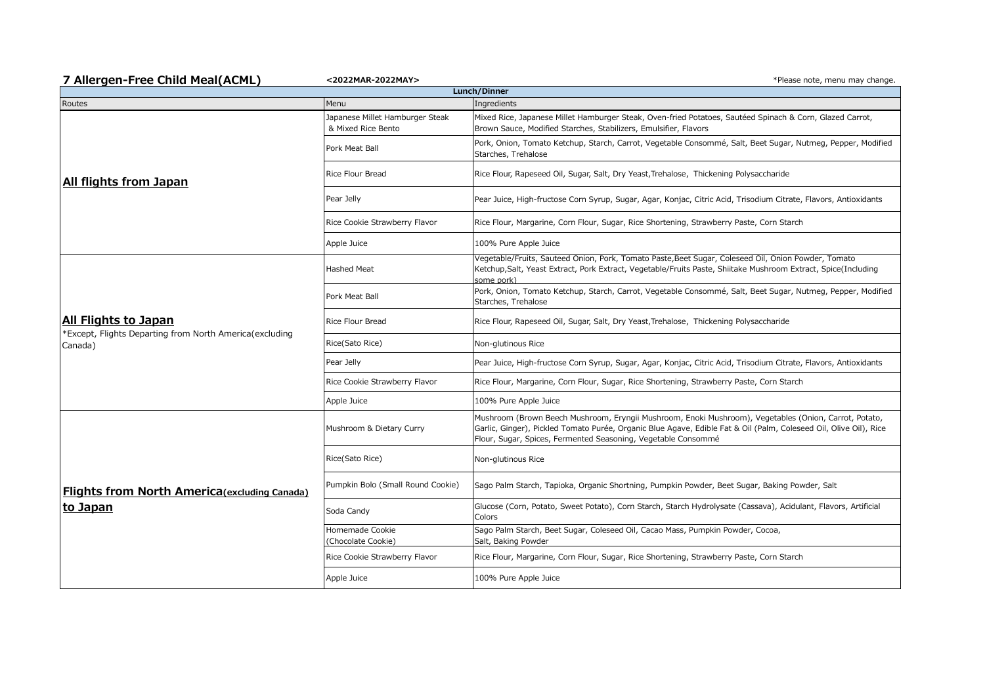| 7 Allergen-Free Child Meal(ACML)                                                           | <2022MAR-2022MAY>                                             | *Please note, menu may change.                                                                                                                                                                                                                                                              |  |  |  |
|--------------------------------------------------------------------------------------------|---------------------------------------------------------------|---------------------------------------------------------------------------------------------------------------------------------------------------------------------------------------------------------------------------------------------------------------------------------------------|--|--|--|
| Lunch/Dinner                                                                               |                                                               |                                                                                                                                                                                                                                                                                             |  |  |  |
| Routes<br>All flights from Japan                                                           | Menu<br>Japanese Millet Hamburger Steak<br>& Mixed Rice Bento | Ingredients<br>Mixed Rice, Japanese Millet Hamburger Steak, Oven-fried Potatoes, Sautéed Spinach & Corn, Glazed Carrot,<br>Brown Sauce, Modified Starches, Stabilizers, Emulsifier, Flavors                                                                                                 |  |  |  |
|                                                                                            | Pork Meat Ball                                                | Pork, Onion, Tomato Ketchup, Starch, Carrot, Vegetable Consommé, Salt, Beet Sugar, Nutmeg, Pepper, Modified<br>Starches, Trehalose                                                                                                                                                          |  |  |  |
|                                                                                            | <b>Rice Flour Bread</b>                                       | Rice Flour, Rapeseed Oil, Sugar, Salt, Dry Yeast, Trehalose, Thickening Polysaccharide                                                                                                                                                                                                      |  |  |  |
|                                                                                            | Pear Jelly                                                    | Pear Juice, High-fructose Corn Syrup, Sugar, Agar, Konjac, Citric Acid, Trisodium Citrate, Flavors, Antioxidants                                                                                                                                                                            |  |  |  |
|                                                                                            | Rice Cookie Strawberry Flavor                                 | Rice Flour, Margarine, Corn Flour, Sugar, Rice Shortening, Strawberry Paste, Corn Starch                                                                                                                                                                                                    |  |  |  |
|                                                                                            | Apple Juice                                                   | 100% Pure Apple Juice                                                                                                                                                                                                                                                                       |  |  |  |
| All Flights to Japan<br>*Except, Flights Departing from North America(excluding<br>Canada) | <b>Hashed Meat</b>                                            | Vegetable/Fruits, Sauteed Onion, Pork, Tomato Paste, Beet Sugar, Coleseed Oil, Onion Powder, Tomato<br>Ketchup, Salt, Yeast Extract, Pork Extract, Vegetable/Fruits Paste, Shiitake Mushroom Extract, Spice(Including<br>some pork)                                                         |  |  |  |
|                                                                                            | Pork Meat Ball                                                | Pork, Onion, Tomato Ketchup, Starch, Carrot, Vegetable Consommé, Salt, Beet Sugar, Nutmeg, Pepper, Modified<br>Starches, Trehalose                                                                                                                                                          |  |  |  |
|                                                                                            | <b>Rice Flour Bread</b>                                       | Rice Flour, Rapeseed Oil, Sugar, Salt, Dry Yeast, Trehalose, Thickening Polysaccharide                                                                                                                                                                                                      |  |  |  |
|                                                                                            | Rice(Sato Rice)                                               | Non-glutinous Rice                                                                                                                                                                                                                                                                          |  |  |  |
|                                                                                            | Pear Jelly                                                    | Pear Juice, High-fructose Corn Syrup, Sugar, Agar, Konjac, Citric Acid, Trisodium Citrate, Flavors, Antioxidants                                                                                                                                                                            |  |  |  |
|                                                                                            | Rice Cookie Strawberry Flavor                                 | Rice Flour, Margarine, Corn Flour, Sugar, Rice Shortening, Strawberry Paste, Corn Starch                                                                                                                                                                                                    |  |  |  |
|                                                                                            | Apple Juice                                                   | 100% Pure Apple Juice                                                                                                                                                                                                                                                                       |  |  |  |
| <b>Flights from North America (excluding Canada)</b><br>to Japan                           | Mushroom & Dietary Curry                                      | Mushroom (Brown Beech Mushroom, Eryngii Mushroom, Enoki Mushroom), Vegetables (Onion, Carrot, Potato,<br>Garlic, Ginger), Pickled Tomato Purée, Organic Blue Agave, Edible Fat & Oil (Palm, Coleseed Oil, Olive Oil), Rice<br>Flour, Sugar, Spices, Fermented Seasoning, Vegetable Consommé |  |  |  |
|                                                                                            | Rice(Sato Rice)                                               | Non-glutinous Rice                                                                                                                                                                                                                                                                          |  |  |  |
|                                                                                            | Pumpkin Bolo (Small Round Cookie)                             | Sago Palm Starch, Tapioka, Organic Shortning, Pumpkin Powder, Beet Sugar, Baking Powder, Salt                                                                                                                                                                                               |  |  |  |
|                                                                                            | Soda Candy                                                    | Glucose (Corn, Potato, Sweet Potato), Corn Starch, Starch Hydrolysate (Cassava), Acidulant, Flavors, Artificial<br>Colors                                                                                                                                                                   |  |  |  |
|                                                                                            | Homemade Cookie<br>(Chocolate Cookie)                         | Sago Palm Starch, Beet Sugar, Coleseed Oil, Cacao Mass, Pumpkin Powder, Cocoa,<br>Salt, Baking Powder                                                                                                                                                                                       |  |  |  |
|                                                                                            | Rice Cookie Strawberry Flavor                                 | Rice Flour, Margarine, Corn Flour, Sugar, Rice Shortening, Strawberry Paste, Corn Starch                                                                                                                                                                                                    |  |  |  |
|                                                                                            | Apple Juice                                                   | 100% Pure Apple Juice                                                                                                                                                                                                                                                                       |  |  |  |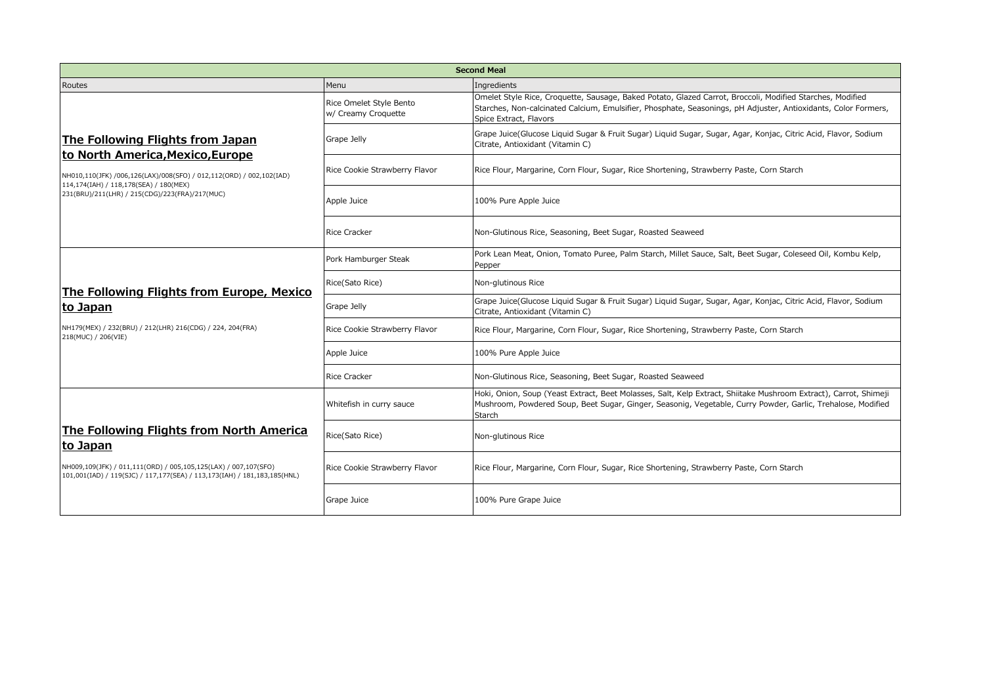| <b>Second Meal</b>                                                                                                                                                                                                                      |                                                |                                                                                                                                                                                                                                                       |  |  |
|-----------------------------------------------------------------------------------------------------------------------------------------------------------------------------------------------------------------------------------------|------------------------------------------------|-------------------------------------------------------------------------------------------------------------------------------------------------------------------------------------------------------------------------------------------------------|--|--|
| Routes                                                                                                                                                                                                                                  | Menu                                           | Ingredients                                                                                                                                                                                                                                           |  |  |
| The Following Flights from Japan<br>to North America, Mexico, Europe<br>NH010,110(JFK) /006,126(LAX)/008(SFO) / 012,112(ORD) / 002,102(IAD)<br>114,174(IAH) / 118,178(SEA) / 180(MEX)<br>231(BRU)/211(LHR) / 215(CDG)/223(FRA)/217(MUC) | Rice Omelet Style Bento<br>w/ Creamy Croquette | Omelet Style Rice, Croquette, Sausage, Baked Potato, Glazed Carrot, Broccoli, Modified Starches, Modified<br>Starches, Non-calcinated Calcium, Emulsifier, Phosphate, Seasonings, pH Adjuster, Antioxidants, Color Formers,<br>Spice Extract, Flavors |  |  |
|                                                                                                                                                                                                                                         | Grape Jelly                                    | Grape Juice(Glucose Liquid Sugar & Fruit Sugar) Liquid Sugar, Sugar, Agar, Konjac, Citric Acid, Flavor, Sodium<br>Citrate, Antioxidant (Vitamin C)                                                                                                    |  |  |
|                                                                                                                                                                                                                                         | Rice Cookie Strawberry Flavor                  | Rice Flour, Margarine, Corn Flour, Sugar, Rice Shortening, Strawberry Paste, Corn Starch                                                                                                                                                              |  |  |
|                                                                                                                                                                                                                                         | Apple Juice                                    | 100% Pure Apple Juice                                                                                                                                                                                                                                 |  |  |
|                                                                                                                                                                                                                                         | <b>Rice Cracker</b>                            | Non-Glutinous Rice, Seasoning, Beet Sugar, Roasted Seaweed                                                                                                                                                                                            |  |  |
| The Following Flights from Europe, Mexico<br>to Japan<br>NH179(MEX) / 232(BRU) / 212(LHR) 216(CDG) / 224, 204(FRA)<br>218(MUC) / 206(VIE)                                                                                               | Pork Hamburger Steak                           | Pork Lean Meat, Onion, Tomato Puree, Palm Starch, Millet Sauce, Salt, Beet Sugar, Coleseed Oil, Kombu Kelp,<br>Pepper                                                                                                                                 |  |  |
|                                                                                                                                                                                                                                         | Rice(Sato Rice)                                | Non-glutinous Rice                                                                                                                                                                                                                                    |  |  |
|                                                                                                                                                                                                                                         | Grape Jelly                                    | Grape Juice(Glucose Liquid Sugar & Fruit Sugar) Liquid Sugar, Sugar, Agar, Konjac, Citric Acid, Flavor, Sodium<br>Citrate, Antioxidant (Vitamin C)                                                                                                    |  |  |
|                                                                                                                                                                                                                                         | Rice Cookie Strawberry Flavor                  | Rice Flour, Margarine, Corn Flour, Sugar, Rice Shortening, Strawberry Paste, Corn Starch                                                                                                                                                              |  |  |
|                                                                                                                                                                                                                                         | Apple Juice                                    | 100% Pure Apple Juice                                                                                                                                                                                                                                 |  |  |
|                                                                                                                                                                                                                                         | <b>Rice Cracker</b>                            | Non-Glutinous Rice, Seasoning, Beet Sugar, Roasted Seaweed                                                                                                                                                                                            |  |  |
| The Following Flights from North America<br> to Japan<br>NH009,109(JFK) / 011,111(ORD) / 005,105,125(LAX) / 007,107(SFO)<br>101,001(IAD) / 119(SJC) / 117,177(SEA) / 113,173(IAH) / 181,183,185(HNL)                                    | Whitefish in curry sauce                       | Hoki, Onion, Soup (Yeast Extract, Beet Molasses, Salt, Kelp Extract, Shiitake Mushroom Extract), Carrot, Shimeji<br>Mushroom, Powdered Soup, Beet Sugar, Ginger, Seasonig, Vegetable, Curry Powder, Garlic, Trehalose, Modified<br>Starch             |  |  |
|                                                                                                                                                                                                                                         | Rice(Sato Rice)                                | Non-glutinous Rice                                                                                                                                                                                                                                    |  |  |
|                                                                                                                                                                                                                                         | Rice Cookie Strawberry Flavor                  | Rice Flour, Margarine, Corn Flour, Sugar, Rice Shortening, Strawberry Paste, Corn Starch                                                                                                                                                              |  |  |
|                                                                                                                                                                                                                                         | Grape Juice                                    | 100% Pure Grape Juice                                                                                                                                                                                                                                 |  |  |